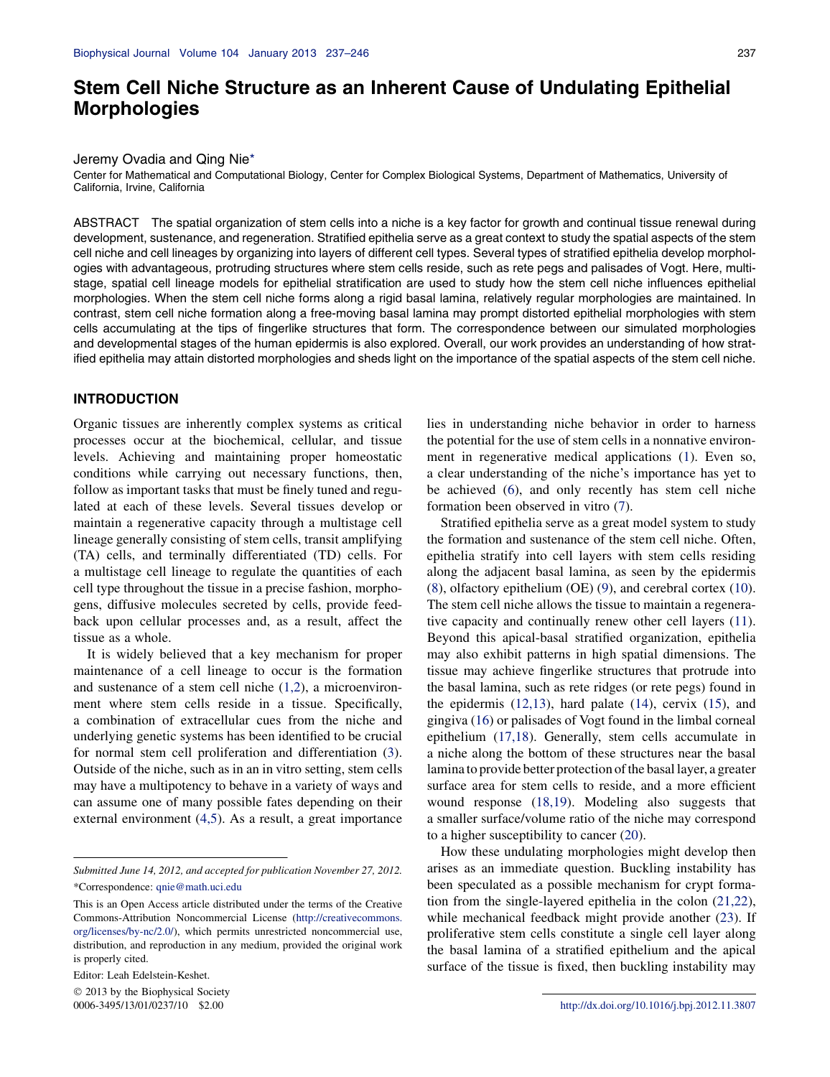# Stem Cell Niche Structure as an Inherent Cause of Undulating Epithelial Morphologies

#### Jeremy Ovadia and Qing Nie\*

Center for Mathematical and Computational Biology, Center for Complex Biological Systems, Department of Mathematics, University of California, Irvine, California

ABSTRACT The spatial organization of stem cells into a niche is a key factor for growth and continual tissue renewal during development, sustenance, and regeneration. Stratified epithelia serve as a great context to study the spatial aspects of the stem cell niche and cell lineages by organizing into layers of different cell types. Several types of stratified epithelia develop morphologies with advantageous, protruding structures where stem cells reside, such as rete pegs and palisades of Vogt. Here, multistage, spatial cell lineage models for epithelial stratification are used to study how the stem cell niche influences epithelial morphologies. When the stem cell niche forms along a rigid basal lamina, relatively regular morphologies are maintained. In contrast, stem cell niche formation along a free-moving basal lamina may prompt distorted epithelial morphologies with stem cells accumulating at the tips of fingerlike structures that form. The correspondence between our simulated morphologies and developmental stages of the human epidermis is also explored. Overall, our work provides an understanding of how stratified epithelia may attain distorted morphologies and sheds light on the importance of the spatial aspects of the stem cell niche.

#### INTRODUCTION

Organic tissues are inherently complex systems as critical processes occur at the biochemical, cellular, and tissue levels. Achieving and maintaining proper homeostatic conditions while carrying out necessary functions, then, follow as important tasks that must be finely tuned and regulated at each of these levels. Several tissues develop or maintain a regenerative capacity through a multistage cell lineage generally consisting of stem cells, transit amplifying (TA) cells, and terminally differentiated (TD) cells. For a multistage cell lineage to regulate the quantities of each cell type throughout the tissue in a precise fashion, morphogens, diffusive molecules secreted by cells, provide feedback upon cellular processes and, as a result, affect the tissue as a whole.

It is widely believed that a key mechanism for proper maintenance of a cell lineage to occur is the formation and sustenance of a stem cell niche [\(1,2\)](#page-7-0), a microenvironment where stem cells reside in a tissue. Specifically, a combination of extracellular cues from the niche and underlying genetic systems has been identified to be crucial for normal stem cell proliferation and differentiation ([3\)](#page-7-0). Outside of the niche, such as in an in vitro setting, stem cells may have a multipotency to behave in a variety of ways and can assume one of many possible fates depending on their external environment ([4,5](#page-7-0)). As a result, a great importance

Editor: Leah Edelstein-Keshet.

 2013 by the Biophysical Society 0006-3495/13/01/0237/10 \$2.00 <http://dx.doi.org/10.1016/j.bpj.2012.11.3807>

lies in understanding niche behavior in order to harness the potential for the use of stem cells in a nonnative environment in regenerative medical applications ([1\)](#page-7-0). Even so, a clear understanding of the niche's importance has yet to be achieved [\(6](#page-8-0)), and only recently has stem cell niche formation been observed in vitro ([7\)](#page-8-0).

Stratified epithelia serve as a great model system to study the formation and sustenance of the stem cell niche. Often, epithelia stratify into cell layers with stem cells residing along the adjacent basal lamina, as seen by the epidermis ([8\)](#page-8-0), olfactory epithelium (OE) [\(9](#page-8-0)), and cerebral cortex ([10\)](#page-8-0). The stem cell niche allows the tissue to maintain a regenerative capacity and continually renew other cell layers ([11\)](#page-8-0). Beyond this apical-basal stratified organization, epithelia may also exhibit patterns in high spatial dimensions. The tissue may achieve fingerlike structures that protrude into the basal lamina, such as rete ridges (or rete pegs) found in the epidermis  $(12,13)$  $(12,13)$  $(12,13)$ , hard palate  $(14)$  $(14)$ , cervix  $(15)$  $(15)$ , and gingiva ([16\)](#page-8-0) or palisades of Vogt found in the limbal corneal epithelium [\(17,18\)](#page-8-0). Generally, stem cells accumulate in a niche along the bottom of these structures near the basal lamina to provide better protection of the basal layer, a greater surface area for stem cells to reside, and a more efficient wound response ([18,19](#page-8-0)). Modeling also suggests that a smaller surface/volume ratio of the niche may correspond to a higher susceptibility to cancer [\(20](#page-8-0)).

How these undulating morphologies might develop then arises as an immediate question. Buckling instability has been speculated as a possible mechanism for crypt formation from the single-layered epithelia in the colon [\(21,22\)](#page-8-0), while mechanical feedback might provide another ([23](#page-8-0)). If proliferative stem cells constitute a single cell layer along the basal lamina of a stratified epithelium and the apical surface of the tissue is fixed, then buckling instability may

Submitted June 14, 2012, and accepted for publication November 27, 2012. \*Correspondence: [qnie@math.uci.edu](mailto:qnie@math.uci.edu)

This is an Open Access article distributed under the terms of the Creative Commons-Attribution Noncommercial License [\(http://creativecommons.](http://creativecommons.org/licenses/by-nc/2.0/) [org/licenses/by-nc/2.0/](http://creativecommons.org/licenses/by-nc/2.0/)), which permits unrestricted noncommercial use, distribution, and reproduction in any medium, provided the original work is properly cited.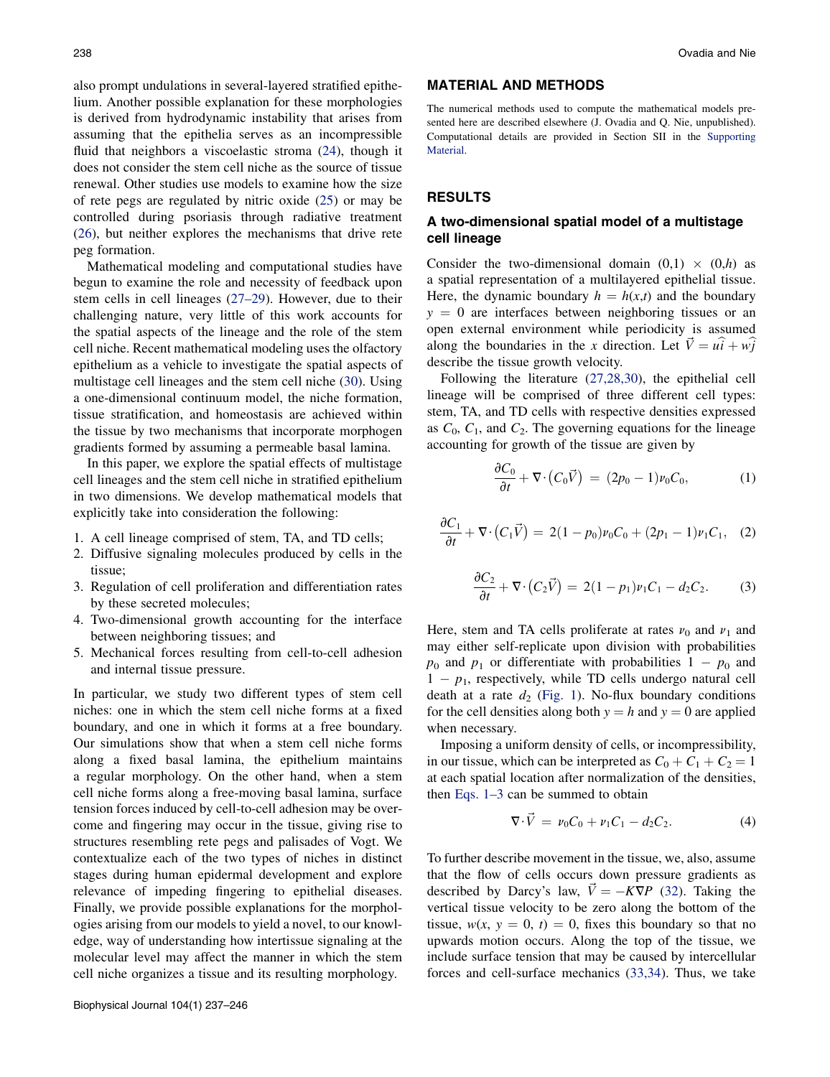also prompt undulations in several-layered stratified epithelium. Another possible explanation for these morphologies is derived from hydrodynamic instability that arises from assuming that the epithelia serves as an incompressible fluid that neighbors a viscoelastic stroma [\(24](#page-8-0)), though it does not consider the stem cell niche as the source of tissue renewal. Other studies use models to examine how the size of rete pegs are regulated by nitric oxide [\(25](#page-8-0)) or may be controlled during psoriasis through radiative treatment ([26\)](#page-8-0), but neither explores the mechanisms that drive rete peg formation.

Mathematical modeling and computational studies have begun to examine the role and necessity of feedback upon stem cells in cell lineages ([27–29\)](#page-8-0). However, due to their challenging nature, very little of this work accounts for the spatial aspects of the lineage and the role of the stem cell niche. Recent mathematical modeling uses the olfactory epithelium as a vehicle to investigate the spatial aspects of multistage cell lineages and the stem cell niche [\(30](#page-8-0)). Using a one-dimensional continuum model, the niche formation, tissue stratification, and homeostasis are achieved within the tissue by two mechanisms that incorporate morphogen gradients formed by assuming a permeable basal lamina.

In this paper, we explore the spatial effects of multistage cell lineages and the stem cell niche in stratified epithelium in two dimensions. We develop mathematical models that explicitly take into consideration the following:

- 1. A cell lineage comprised of stem, TA, and TD cells;
- 2. Diffusive signaling molecules produced by cells in the tissue;
- 3. Regulation of cell proliferation and differentiation rates by these secreted molecules;
- 4. Two-dimensional growth accounting for the interface between neighboring tissues; and
- 5. Mechanical forces resulting from cell-to-cell adhesion and internal tissue pressure.

In particular, we study two different types of stem cell niches: one in which the stem cell niche forms at a fixed boundary, and one in which it forms at a free boundary. Our simulations show that when a stem cell niche forms along a fixed basal lamina, the epithelium maintains a regular morphology. On the other hand, when a stem cell niche forms along a free-moving basal lamina, surface tension forces induced by cell-to-cell adhesion may be overcome and fingering may occur in the tissue, giving rise to structures resembling rete pegs and palisades of Vogt. We contextualize each of the two types of niches in distinct stages during human epidermal development and explore relevance of impeding fingering to epithelial diseases. Finally, we provide possible explanations for the morphologies arising from our models to yield a novel, to our knowledge, way of understanding how intertissue signaling at the molecular level may affect the manner in which the stem cell niche organizes a tissue and its resulting morphology.

### MATERIAL AND METHODS

The numerical methods used to compute the mathematical models presented here are described elsewhere (J. Ovadia and Q. Nie, unpublished). Computational details are provided in Section SII in the [Supporting](#page-7-0) [Material.](#page-7-0)

### RESULTS

## A two-dimensional spatial model of a multistage cell lineage

Consider the two-dimensional domain  $(0,1) \times (0,h)$  as a spatial representation of a multilayered epithelial tissue. Here, the dynamic boundary  $h = h(x,t)$  and the boundary  $y = 0$  are interfaces between neighboring tissues or an open external environment while periodicity is assumed along the boundaries in the x direction. Let  $\vec{V} = u\hat{i} + w\hat{j}$ describe the tissue growth velocity.

Following the literature ([27,28,30\)](#page-8-0), the epithelial cell lineage will be comprised of three different cell types: stem, TA, and TD cells with respective densities expressed as  $C_0$ ,  $C_1$ , and  $C_2$ . The governing equations for the lineage accounting for growth of the tissue are given by

$$
\frac{\partial C_0}{\partial t} + \nabla \cdot (C_0 \vec{V}) = (2p_0 - 1)\nu_0 C_0, \tag{1}
$$

$$
\frac{\partial C_1}{\partial t} + \nabla \cdot (C_1 \vec{V}) = 2(1 - p_0)\nu_0 C_0 + (2p_1 - 1)\nu_1 C_1, (2)
$$

$$
\frac{\partial C_2}{\partial t} + \nabla \cdot (C_2 \vec{V}) = 2(1 - p_1)\nu_1 C_1 - d_2 C_2. \tag{3}
$$

Here, stem and TA cells proliferate at rates  $v_0$  and  $v_1$  and may either self-replicate upon division with probabilities  $p_0$  and  $p_1$  or differentiate with probabilities  $1 - p_0$  and  $1 - p_1$ , respectively, while TD cells undergo natural cell death at a rate  $d_2$  [\(Fig. 1\)](#page-2-0). No-flux boundary conditions for the cell densities along both  $y = h$  and  $y = 0$  are applied when necessary.

Imposing a uniform density of cells, or incompressibility, in our tissue, which can be interpreted as  $C_0 + C_1 + C_2 = 1$ at each spatial location after normalization of the densities, then Eqs. 1–3 can be summed to obtain

$$
\nabla \cdot \vec{V} = \nu_0 C_0 + \nu_1 C_1 - d_2 C_2. \tag{4}
$$

To further describe movement in the tissue, we, also, assume that the flow of cells occurs down pressure gradients as described by Darcy's law,  $\vec{V} = -K\nabla P$  [\(32](#page-8-0)). Taking the vertical tissue velocity to be zero along the bottom of the tissue,  $w(x, y = 0, t) = 0$ , fixes this boundary so that no upwards motion occurs. Along the top of the tissue, we include surface tension that may be caused by intercellular forces and cell-surface mechanics [\(33,34\)](#page-8-0). Thus, we take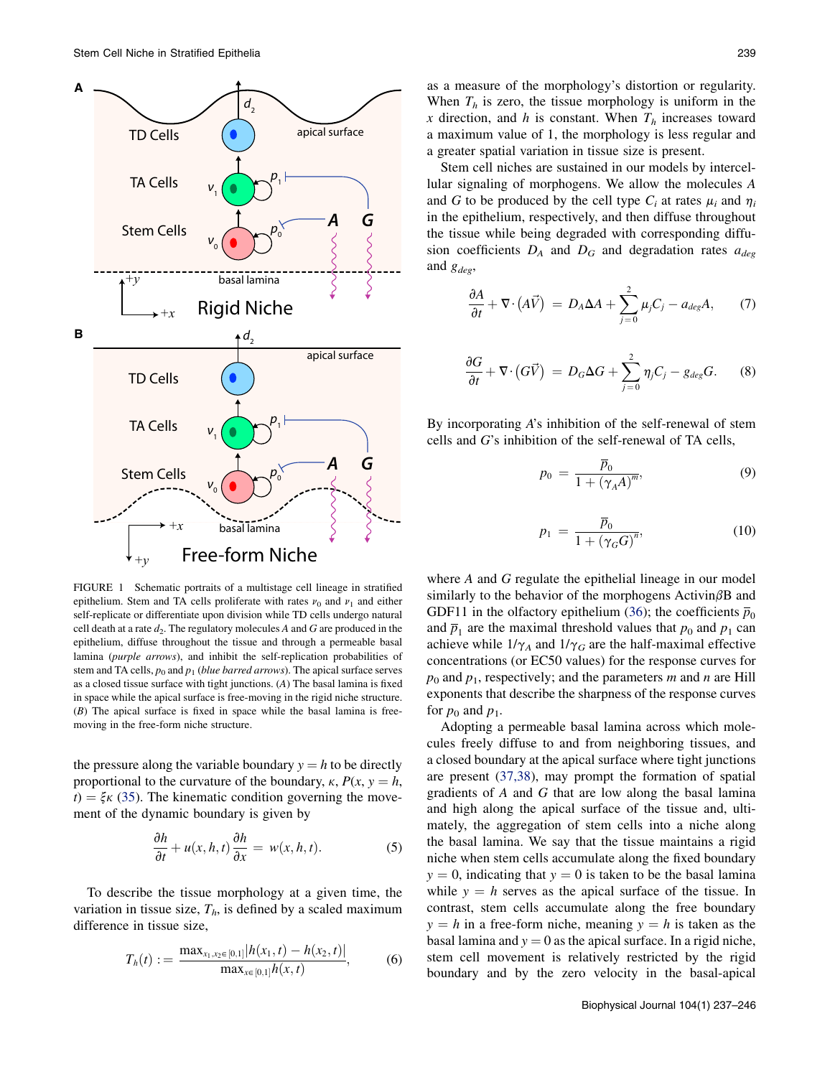<span id="page-2-0"></span>

FIGURE 1 Schematic portraits of a multistage cell lineage in stratified epithelium. Stem and TA cells proliferate with rates  $\nu_0$  and  $\nu_1$  and either self-replicate or differentiate upon division while TD cells undergo natural cell death at a rate  $d_2$ . The regulatory molecules A and G are produced in the epithelium, diffuse throughout the tissue and through a permeable basal lamina (purple arrows), and inhibit the self-replication probabilities of stem and TA cells,  $p_0$  and  $p_1$  (*blue barred arrows*). The apical surface serves as a closed tissue surface with tight junctions. (A) The basal lamina is fixed in space while the apical surface is free-moving in the rigid niche structure.  $(B)$  The apical surface is fixed in space while the basal lamina is freemoving in the free-form niche structure.

the pressure along the variable boundary  $y = h$  to be directly proportional to the curvature of the boundary,  $\kappa$ ,  $P(x, y = h$ ,  $t = \xi \kappa$  [\(35](#page-8-0)). The kinematic condition governing the movement of the dynamic boundary is given by

$$
\frac{\partial h}{\partial t} + u(x, h, t) \frac{\partial h}{\partial x} = w(x, h, t).
$$
 (5)

To describe the tissue morphology at a given time, the variation in tissue size,  $T<sub>h</sub>$ , is defined by a scaled maximum difference in tissue size,

$$
T_h(t) := \frac{\max_{x_1, x_2 \in [0,1]} |h(x_1, t) - h(x_2, t)|}{\max_{x \in [0,1]} h(x, t)},
$$
(6)

as a measure of the morphology's distortion or regularity. When  $T_h$  is zero, the tissue morphology is uniform in the x direction, and h is constant. When  $T_h$  increases toward a maximum value of 1, the morphology is less regular and a greater spatial variation in tissue size is present.

Stem cell niches are sustained in our models by intercellular signaling of morphogens. We allow the molecules A and G to be produced by the cell type  $C_i$  at rates  $\mu_i$  and  $\eta_i$ in the epithelium, respectively, and then diffuse throughout the tissue while being degraded with corresponding diffusion coefficients  $D_A$  and  $D_G$  and degradation rates  $a_{deg}$ and  $g_{deg}$ ,

$$
\frac{\partial A}{\partial t} + \nabla \cdot (A\vec{V}) = D_A \Delta A + \sum_{j=0}^{2} \mu_j C_j - a_{deg} A, \qquad (7)
$$

$$
\frac{\partial G}{\partial t} + \nabla \cdot (G\vec{V}) = D_G \Delta G + \sum_{j=0}^{2} \eta_j C_j - g_{deg} G. \tag{8}
$$

By incorporating A's inhibition of the self-renewal of stem cells and G's inhibition of the self-renewal of TA cells,

$$
p_0 = \frac{\overline{p}_0}{1 + \left(\gamma_A A\right)^m},\tag{9}
$$

$$
p_1 = \frac{\overline{p}_0}{1 + (\gamma_G G)^n},\tag{10}
$$

where A and G regulate the epithelial lineage in our model similarly to the behavior of the morphogens Activin $\beta$ B and GDF11 in the olfactory epithelium [\(36](#page-8-0)); the coefficients  $\overline{p}_0$ and  $\overline{p}_1$  are the maximal threshold values that  $p_0$  and  $p_1$  can achieve while  $1/\gamma_A$  and  $1/\gamma_G$  are the half-maximal effective concentrations (or EC50 values) for the response curves for  $p_0$  and  $p_1$ , respectively; and the parameters m and n are Hill exponents that describe the sharpness of the response curves for  $p_0$  and  $p_1$ .

Adopting a permeable basal lamina across which molecules freely diffuse to and from neighboring tissues, and a closed boundary at the apical surface where tight junctions are present [\(37,38\)](#page-8-0), may prompt the formation of spatial gradients of A and G that are low along the basal lamina and high along the apical surface of the tissue and, ultimately, the aggregation of stem cells into a niche along the basal lamina. We say that the tissue maintains a rigid niche when stem cells accumulate along the fixed boundary  $y = 0$ , indicating that  $y = 0$  is taken to be the basal lamina while  $y = h$  serves as the apical surface of the tissue. In contrast, stem cells accumulate along the free boundary  $y = h$  in a free-form niche, meaning  $y = h$  is taken as the basal lamina and  $y = 0$  as the apical surface. In a rigid niche, stem cell movement is relatively restricted by the rigid boundary and by the zero velocity in the basal-apical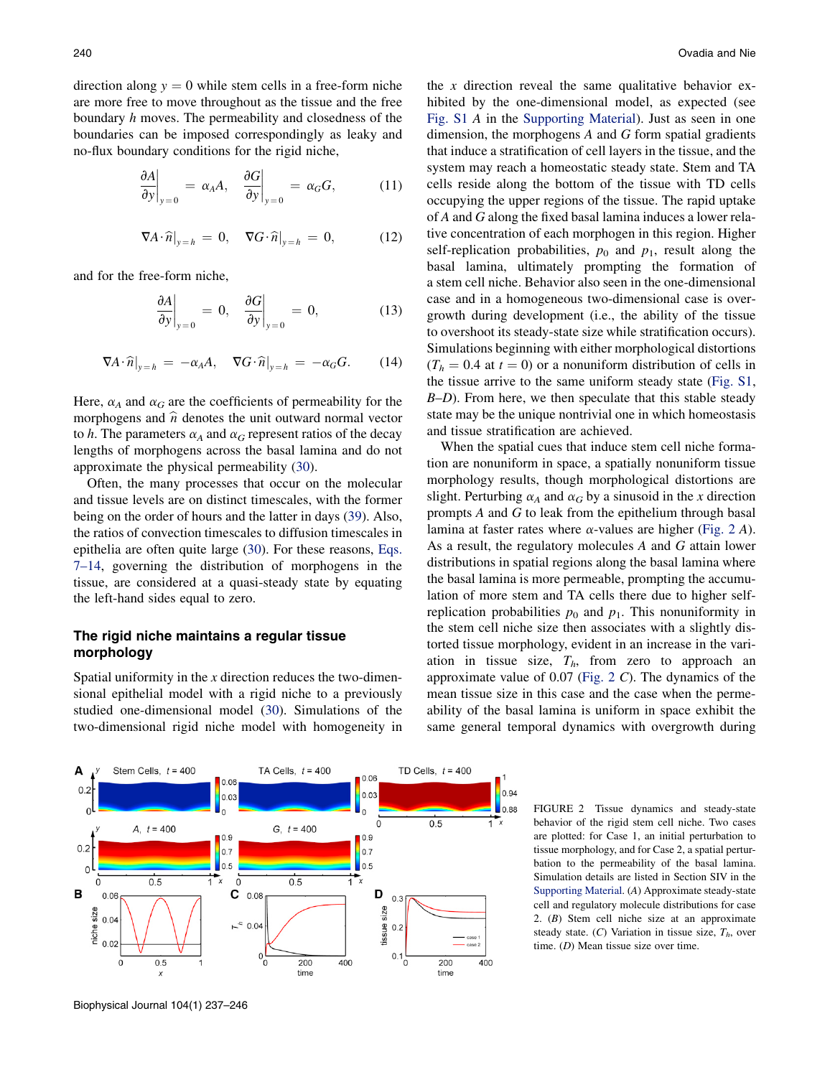<span id="page-3-0"></span>

direction along  $y = 0$  while stem cells in a free-form niche are more free to move throughout as the tissue and the free boundary h moves. The permeability and closedness of the boundaries can be imposed correspondingly as leaky and no-flux boundary conditions for the rigid niche,

$$
\left. \frac{\partial A}{\partial y} \right|_{y=0} = \alpha_A A, \quad \left. \frac{\partial G}{\partial y} \right|_{y=0} = \alpha_G G, \quad (11)
$$

$$
\nabla A \cdot \widehat{n}|_{y=h} = 0, \quad \nabla G \cdot \widehat{n}|_{y=h} = 0,
$$
 (12)

and for the free-form niche,

$$
\left. \frac{\partial A}{\partial y} \right|_{y=0} = 0, \quad \left. \frac{\partial G}{\partial y} \right|_{y=0} = 0, \quad (13)
$$

$$
\nabla A \cdot \widehat{n}\big|_{y=h} = -\alpha_A A, \quad \nabla G \cdot \widehat{n}\big|_{y=h} = -\alpha_G G. \tag{14}
$$

Here,  $\alpha_A$  and  $\alpha_G$  are the coefficients of permeability for the morphogens and  $\hat{n}$  denotes the unit outward normal vector to h. The parameters  $\alpha_A$  and  $\alpha_G$  represent ratios of the decay lengths of morphogens across the basal lamina and do not approximate the physical permeability [\(30](#page-8-0)).

Often, the many processes that occur on the molecular and tissue levels are on distinct timescales, with the former being on the order of hours and the latter in days ([39\)](#page-8-0). Also, the ratios of convection timescales to diffusion timescales in epithelia are often quite large ([30\)](#page-8-0). For these reasons, [Eqs.](#page-2-0) [7–14](#page-2-0), governing the distribution of morphogens in the tissue, are considered at a quasi-steady state by equating the left-hand sides equal to zero.

# The rigid niche maintains a regular tissue morphology

Spatial uniformity in the  $x$  direction reduces the two-dimensional epithelial model with a rigid niche to a previously studied one-dimensional model ([30\)](#page-8-0). Simulations of the two-dimensional rigid niche model with homogeneity in the x direction reveal the same qualitative behavior exhibited by the one-dimensional model, as expected (see [Fig. S1](#page-7-0) A in the [Supporting Material](#page-7-0)). Just as seen in one dimension, the morphogens A and G form spatial gradients that induce a stratification of cell layers in the tissue, and the system may reach a homeostatic steady state. Stem and TA cells reside along the bottom of the tissue with TD cells occupying the upper regions of the tissue. The rapid uptake of A and G along the fixed basal lamina induces a lower relative concentration of each morphogen in this region. Higher self-replication probabilities,  $p_0$  and  $p_1$ , result along the basal lamina, ultimately prompting the formation of a stem cell niche. Behavior also seen in the one-dimensional case and in a homogeneous two-dimensional case is overgrowth during development (i.e., the ability of the tissue to overshoot its steady-state size while stratification occurs). Simulations beginning with either morphological distortions  $(T_h = 0.4$  at  $t = 0)$  or a nonuniform distribution of cells in the tissue arrive to the same uniform steady state ([Fig. S1](#page-7-0),  $B-D$ ). From here, we then speculate that this stable steady state may be the unique nontrivial one in which homeostasis and tissue stratification are achieved.

When the spatial cues that induce stem cell niche formation are nonuniform in space, a spatially nonuniform tissue morphology results, though morphological distortions are slight. Perturbing  $\alpha_A$  and  $\alpha_G$  by a sinusoid in the x direction prompts A and G to leak from the epithelium through basal lamina at faster rates where  $\alpha$ -values are higher (Fig. 2 A). As a result, the regulatory molecules A and G attain lower distributions in spatial regions along the basal lamina where the basal lamina is more permeable, prompting the accumulation of more stem and TA cells there due to higher selfreplication probabilities  $p_0$  and  $p_1$ . This nonuniformity in the stem cell niche size then associates with a slightly distorted tissue morphology, evident in an increase in the variation in tissue size,  $T<sub>h</sub>$ , from zero to approach an approximate value of 0.07 (Fig. 2 C). The dynamics of the mean tissue size in this case and the case when the permeability of the basal lamina is uniform in space exhibit the same general temporal dynamics with overgrowth during



FIGURE 2 Tissue dynamics and steady-state behavior of the rigid stem cell niche. Two cases are plotted: for Case 1, an initial perturbation to tissue morphology, and for Case 2, a spatial perturbation to the permeability of the basal lamina. Simulation details are listed in Section SIV in the [Supporting Material](#page-7-0). (A) Approximate steady-state cell and regulatory molecule distributions for case 2. (B) Stem cell niche size at an approximate steady state. (C) Variation in tissue size,  $T_h$ , over time. (D) Mean tissue size over time.

Biophysical Journal 104(1) 237–246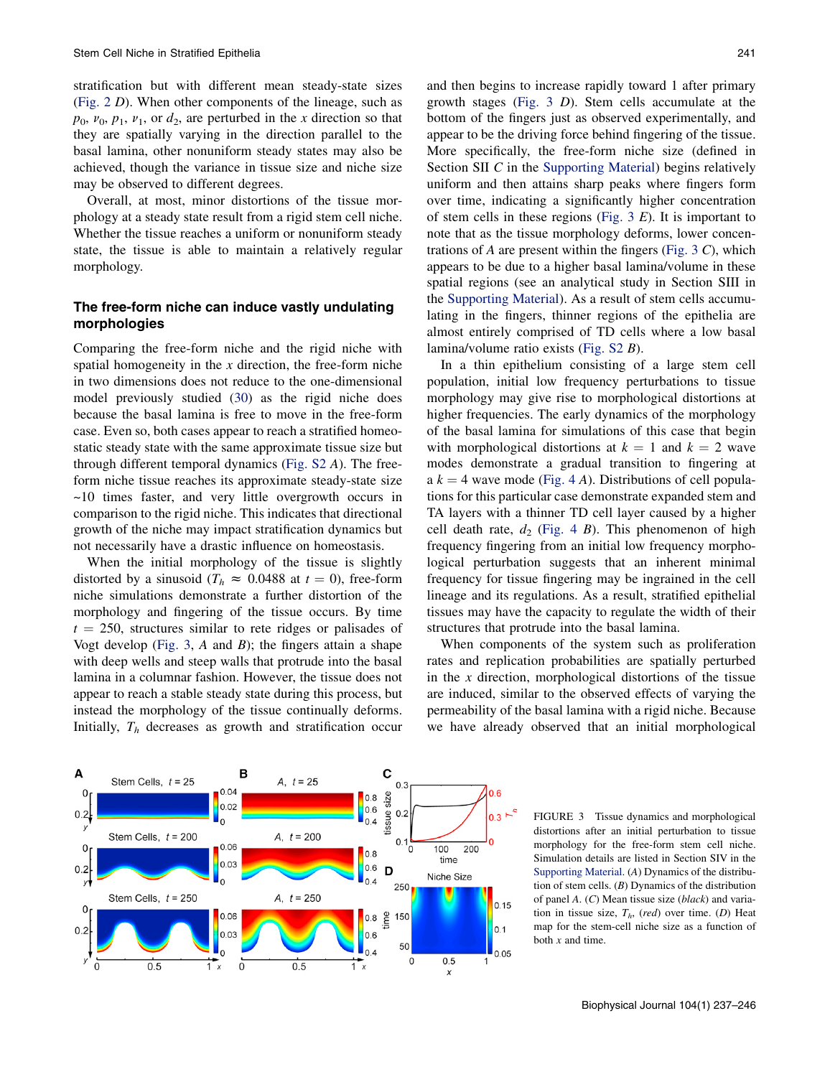<span id="page-4-0"></span>stratification but with different mean steady-state sizes ([Fig. 2](#page-3-0) D). When other components of the lineage, such as  $p_0$ ,  $v_0$ ,  $p_1$ ,  $v_1$ , or  $d_2$ , are perturbed in the x direction so that they are spatially varying in the direction parallel to the basal lamina, other nonuniform steady states may also be achieved, though the variance in tissue size and niche size may be observed to different degrees.

Overall, at most, minor distortions of the tissue morphology at a steady state result from a rigid stem cell niche. Whether the tissue reaches a uniform or nonuniform steady state, the tissue is able to maintain a relatively regular morphology.

# The free-form niche can induce vastly undulating morphologies

Comparing the free-form niche and the rigid niche with spatial homogeneity in the  $x$  direction, the free-form niche in two dimensions does not reduce to the one-dimensional model previously studied [\(30](#page-8-0)) as the rigid niche does because the basal lamina is free to move in the free-form case. Even so, both cases appear to reach a stratified homeostatic steady state with the same approximate tissue size but through different temporal dynamics ([Fig. S2](#page-7-0) A). The freeform niche tissue reaches its approximate steady-state size ~10 times faster, and very little overgrowth occurs in comparison to the rigid niche. This indicates that directional growth of the niche may impact stratification dynamics but not necessarily have a drastic influence on homeostasis.

When the initial morphology of the tissue is slightly distorted by a sinusoid ( $T_h \approx 0.0488$  at  $t = 0$ ), free-form niche simulations demonstrate a further distortion of the morphology and fingering of the tissue occurs. By time  $t = 250$ , structures similar to rete ridges or palisades of Vogt develop (Fig. 3,  $A$  and  $B$ ); the fingers attain a shape with deep wells and steep walls that protrude into the basal lamina in a columnar fashion. However, the tissue does not appear to reach a stable steady state during this process, but instead the morphology of the tissue continually deforms. Initially,  $T<sub>h</sub>$  decreases as growth and stratification occur and then begins to increase rapidly toward 1 after primary growth stages (Fig. 3 D). Stem cells accumulate at the bottom of the fingers just as observed experimentally, and appear to be the driving force behind fingering of the tissue. More specifically, the free-form niche size (defined in Section SII C in the [Supporting Material](#page-7-0)) begins relatively uniform and then attains sharp peaks where fingers form over time, indicating a significantly higher concentration of stem cells in these regions (Fig.  $3 E$ ). It is important to note that as the tissue morphology deforms, lower concentrations of A are present within the fingers (Fig.  $3 \, C$ ), which appears to be due to a higher basal lamina/volume in these spatial regions (see an analytical study in Section SIII in the [Supporting Material\)](#page-7-0). As a result of stem cells accumulating in the fingers, thinner regions of the epithelia are almost entirely comprised of TD cells where a low basal lamina/volume ratio exists ([Fig. S2](#page-7-0) B).

In a thin epithelium consisting of a large stem cell population, initial low frequency perturbations to tissue morphology may give rise to morphological distortions at higher frequencies. The early dynamics of the morphology of the basal lamina for simulations of this case that begin with morphological distortions at  $k = 1$  and  $k = 2$  wave modes demonstrate a gradual transition to fingering at a  $k = 4$  wave mode ([Fig. 4](#page-5-0) A). Distributions of cell populations for this particular case demonstrate expanded stem and TA layers with a thinner TD cell layer caused by a higher cell death rate,  $d_2$  [\(Fig. 4](#page-5-0) B). This phenomenon of high frequency fingering from an initial low frequency morphological perturbation suggests that an inherent minimal frequency for tissue fingering may be ingrained in the cell lineage and its regulations. As a result, stratified epithelial tissues may have the capacity to regulate the width of their structures that protrude into the basal lamina.

When components of the system such as proliferation rates and replication probabilities are spatially perturbed in the x direction, morphological distortions of the tissue are induced, similar to the observed effects of varying the permeability of the basal lamina with a rigid niche. Because we have already observed that an initial morphological



FIGURE 3 Tissue dynamics and morphological distortions after an initial perturbation to tissue morphology for the free-form stem cell niche. Simulation details are listed in Section SIV in the [Supporting Material](#page-7-0). (A) Dynamics of the distribution of stem cells.  $(B)$  Dynamics of the distribution of panel A. (C) Mean tissue size (black) and variation in tissue size,  $T<sub>h</sub>$ , (red) over time. (D) Heat map for the stem-cell niche size as a function of both  $x$  and time.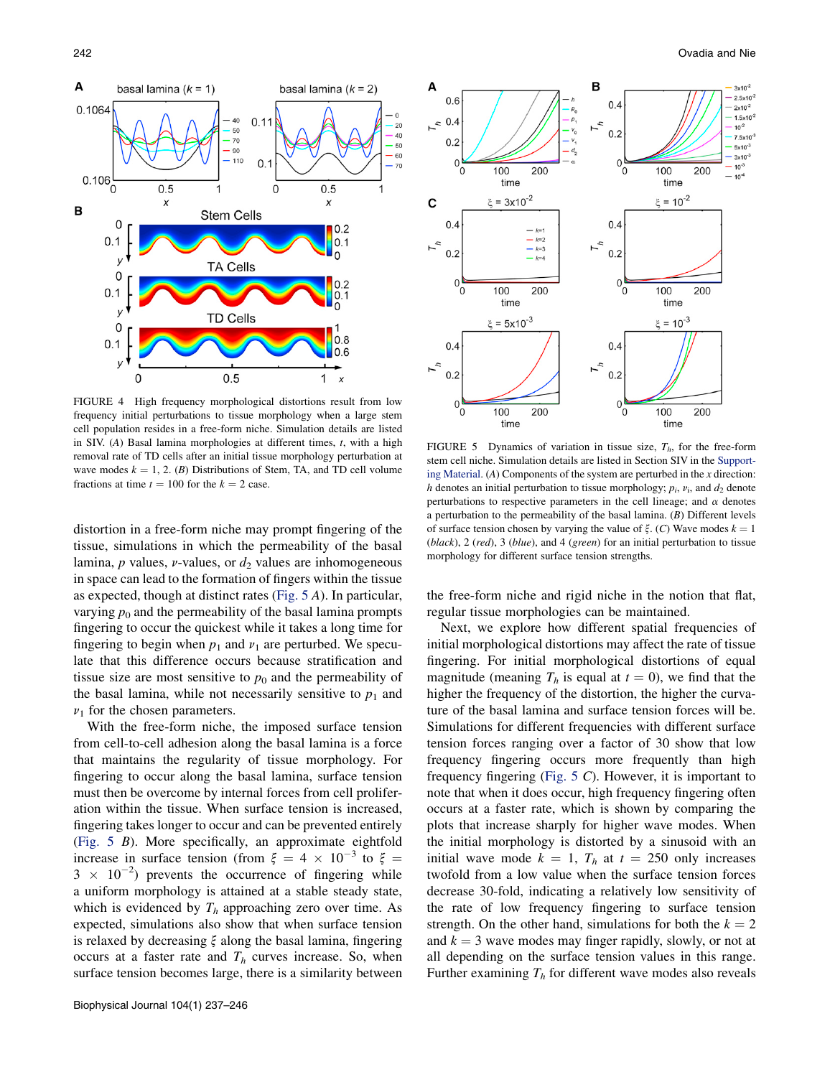<span id="page-5-0"></span>

FIGURE 4 High frequency morphological distortions result from low frequency initial perturbations to tissue morphology when a large stem cell population resides in a free-form niche. Simulation details are listed in SIV. (A) Basal lamina morphologies at different times, t, with a high removal rate of TD cells after an initial tissue morphology perturbation at wave modes  $k = 1, 2$ . (B) Distributions of Stem, TA, and TD cell volume fractions at time  $t = 100$  for the  $k = 2$  case.

distortion in a free-form niche may prompt fingering of the tissue, simulations in which the permeability of the basal lamina, p values, v-values, or  $d_2$  values are inhomogeneous in space can lead to the formation of fingers within the tissue as expected, though at distinct rates (Fig. 5 A). In particular, varying  $p_0$  and the permeability of the basal lamina prompts fingering to occur the quickest while it takes a long time for fingering to begin when  $p_1$  and  $v_1$  are perturbed. We speculate that this difference occurs because stratification and tissue size are most sensitive to  $p_0$  and the permeability of the basal lamina, while not necessarily sensitive to  $p_1$  and  $\nu_1$  for the chosen parameters.

With the free-form niche, the imposed surface tension from cell-to-cell adhesion along the basal lamina is a force that maintains the regularity of tissue morphology. For fingering to occur along the basal lamina, surface tension must then be overcome by internal forces from cell proliferation within the tissue. When surface tension is increased, fingering takes longer to occur and can be prevented entirely (Fig. 5 B). More specifically, an approximate eightfold increase in surface tension (from  $\xi = 4 \times 10^{-3}$  to  $\xi =$  $3 \times 10^{-2}$ ) prevents the occurrence of fingering while a uniform morphology is attained at a stable steady state, which is evidenced by  $T_h$  approaching zero over time. As expected, simulations also show that when surface tension is relaxed by decreasing  $\xi$  along the basal lamina, fingering occurs at a faster rate and  $T<sub>h</sub>$  curves increase. So, when surface tension becomes large, there is a similarity between



FIGURE 5 Dynamics of variation in tissue size,  $T<sub>h</sub>$ , for the free-form stem cell niche. Simulation details are listed in Section SIV in the [Support](#page-7-0)[ing Material](#page-7-0). (A) Components of the system are perturbed in the  $x$  direction: h denotes an initial perturbation to tissue morphology;  $p_i$ ,  $v_i$ , and  $d_2$  denote perturbations to respective parameters in the cell lineage; and  $\alpha$  denotes a perturbation to the permeability of the basal lamina.  $(B)$  Different levels of surface tension chosen by varying the value of  $\xi$ . (C) Wave modes  $k = 1$  $(black)$ , 2 (red), 3 (blue), and 4 (green) for an initial perturbation to tissue morphology for different surface tension strengths.

the free-form niche and rigid niche in the notion that flat, regular tissue morphologies can be maintained.

Next, we explore how different spatial frequencies of initial morphological distortions may affect the rate of tissue fingering. For initial morphological distortions of equal magnitude (meaning  $T<sub>h</sub>$  is equal at  $t = 0$ ), we find that the higher the frequency of the distortion, the higher the curvature of the basal lamina and surface tension forces will be. Simulations for different frequencies with different surface tension forces ranging over a factor of 30 show that low frequency fingering occurs more frequently than high frequency fingering (Fig. 5 C). However, it is important to note that when it does occur, high frequency fingering often occurs at a faster rate, which is shown by comparing the plots that increase sharply for higher wave modes. When the initial morphology is distorted by a sinusoid with an initial wave mode  $k = 1$ ,  $T_h$  at  $t = 250$  only increases twofold from a low value when the surface tension forces decrease 30-fold, indicating a relatively low sensitivity of the rate of low frequency fingering to surface tension strength. On the other hand, simulations for both the  $k = 2$ and  $k = 3$  wave modes may finger rapidly, slowly, or not at all depending on the surface tension values in this range. Further examining  $T<sub>h</sub>$  for different wave modes also reveals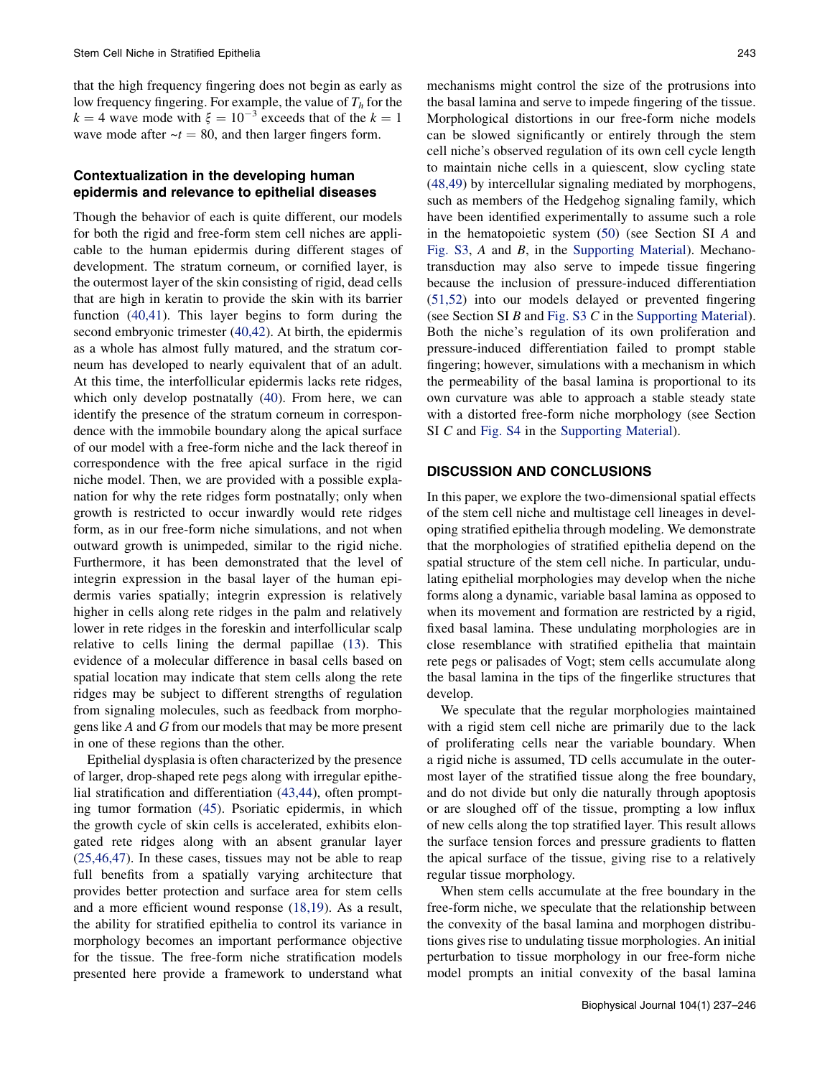that the high frequency fingering does not begin as early as low frequency fingering. For example, the value of  $T<sub>h</sub>$  for the  $k = 4$  wave mode with  $\xi = 10^{-3}$  exceeds that of the  $k = 1$ wave mode after  $\sim t = 80$ , and then larger fingers form.

# Contextualization in the developing human epidermis and relevance to epithelial diseases

Though the behavior of each is quite different, our models for both the rigid and free-form stem cell niches are applicable to the human epidermis during different stages of development. The stratum corneum, or cornified layer, is the outermost layer of the skin consisting of rigid, dead cells that are high in keratin to provide the skin with its barrier function ([40,41](#page-8-0)). This layer begins to form during the second embryonic trimester ([40,42](#page-8-0)). At birth, the epidermis as a whole has almost fully matured, and the stratum corneum has developed to nearly equivalent that of an adult. At this time, the interfollicular epidermis lacks rete ridges, which only develop postnatally [\(40](#page-8-0)). From here, we can identify the presence of the stratum corneum in correspondence with the immobile boundary along the apical surface of our model with a free-form niche and the lack thereof in correspondence with the free apical surface in the rigid niche model. Then, we are provided with a possible explanation for why the rete ridges form postnatally; only when growth is restricted to occur inwardly would rete ridges form, as in our free-form niche simulations, and not when outward growth is unimpeded, similar to the rigid niche. Furthermore, it has been demonstrated that the level of integrin expression in the basal layer of the human epidermis varies spatially; integrin expression is relatively higher in cells along rete ridges in the palm and relatively lower in rete ridges in the foreskin and interfollicular scalp relative to cells lining the dermal papillae ([13\)](#page-8-0). This evidence of a molecular difference in basal cells based on spatial location may indicate that stem cells along the rete ridges may be subject to different strengths of regulation from signaling molecules, such as feedback from morphogens like A and G from our models that may be more present in one of these regions than the other.

Epithelial dysplasia is often characterized by the presence of larger, drop-shaped rete pegs along with irregular epithelial stratification and differentiation ([43,44](#page-8-0)), often prompting tumor formation ([45\)](#page-8-0). Psoriatic epidermis, in which the growth cycle of skin cells is accelerated, exhibits elongated rete ridges along with an absent granular layer ([25,46,47\)](#page-8-0). In these cases, tissues may not be able to reap full benefits from a spatially varying architecture that provides better protection and surface area for stem cells and a more efficient wound response [\(18,19\)](#page-8-0). As a result, the ability for stratified epithelia to control its variance in morphology becomes an important performance objective for the tissue. The free-form niche stratification models presented here provide a framework to understand what mechanisms might control the size of the protrusions into the basal lamina and serve to impede fingering of the tissue. Morphological distortions in our free-form niche models can be slowed significantly or entirely through the stem cell niche's observed regulation of its own cell cycle length to maintain niche cells in a quiescent, slow cycling state ([48,49](#page-8-0)) by intercellular signaling mediated by morphogens, such as members of the Hedgehog signaling family, which have been identified experimentally to assume such a role in the hematopoietic system [\(50](#page-8-0)) (see Section SI A and [Fig. S3,](#page-7-0) A and B, in the [Supporting Material](#page-7-0)). Mechanotransduction may also serve to impede tissue fingering because the inclusion of pressure-induced differentiation ([51,52](#page-8-0)) into our models delayed or prevented fingering (see Section SI B and [Fig. S3](#page-7-0) C in the [Supporting Material\)](#page-7-0). Both the niche's regulation of its own proliferation and pressure-induced differentiation failed to prompt stable fingering; however, simulations with a mechanism in which the permeability of the basal lamina is proportional to its own curvature was able to approach a stable steady state with a distorted free-form niche morphology (see Section SI C and [Fig. S4](#page-7-0) in the [Supporting Material](#page-7-0)).

# DISCUSSION AND CONCLUSIONS

In this paper, we explore the two-dimensional spatial effects of the stem cell niche and multistage cell lineages in developing stratified epithelia through modeling. We demonstrate that the morphologies of stratified epithelia depend on the spatial structure of the stem cell niche. In particular, undulating epithelial morphologies may develop when the niche forms along a dynamic, variable basal lamina as opposed to when its movement and formation are restricted by a rigid, fixed basal lamina. These undulating morphologies are in close resemblance with stratified epithelia that maintain rete pegs or palisades of Vogt; stem cells accumulate along the basal lamina in the tips of the fingerlike structures that develop.

We speculate that the regular morphologies maintained with a rigid stem cell niche are primarily due to the lack of proliferating cells near the variable boundary. When a rigid niche is assumed, TD cells accumulate in the outermost layer of the stratified tissue along the free boundary, and do not divide but only die naturally through apoptosis or are sloughed off of the tissue, prompting a low influx of new cells along the top stratified layer. This result allows the surface tension forces and pressure gradients to flatten the apical surface of the tissue, giving rise to a relatively regular tissue morphology.

When stem cells accumulate at the free boundary in the free-form niche, we speculate that the relationship between the convexity of the basal lamina and morphogen distributions gives rise to undulating tissue morphologies. An initial perturbation to tissue morphology in our free-form niche model prompts an initial convexity of the basal lamina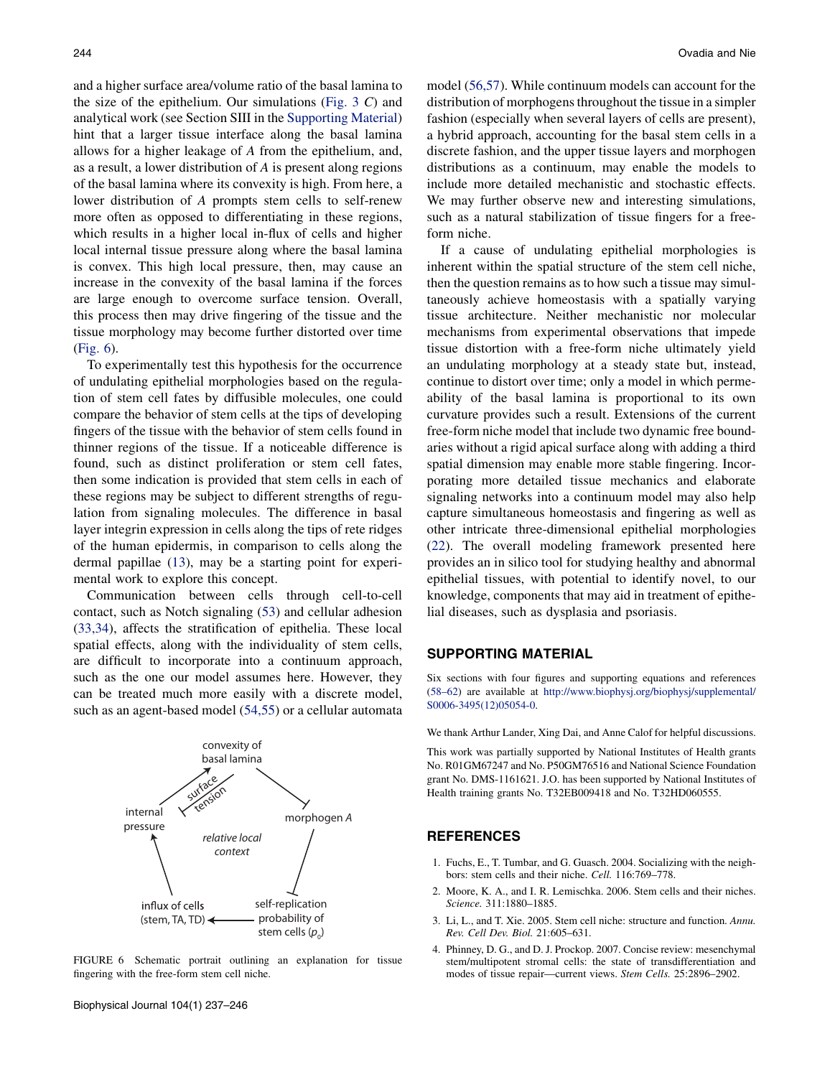<span id="page-7-0"></span>and a higher surface area/volume ratio of the basal lamina to the size of the epithelium. Our simulations (Fig.  $3 \text{ } C$ ) and analytical work (see Section SIII in the Supporting Material) hint that a larger tissue interface along the basal lamina allows for a higher leakage of A from the epithelium, and, as a result, a lower distribution of A is present along regions of the basal lamina where its convexity is high. From here, a lower distribution of A prompts stem cells to self-renew more often as opposed to differentiating in these regions, which results in a higher local in-flux of cells and higher local internal tissue pressure along where the basal lamina is convex. This high local pressure, then, may cause an increase in the convexity of the basal lamina if the forces are large enough to overcome surface tension. Overall, this process then may drive fingering of the tissue and the tissue morphology may become further distorted over time (Fig. 6).

To experimentally test this hypothesis for the occurrence of undulating epithelial morphologies based on the regulation of stem cell fates by diffusible molecules, one could compare the behavior of stem cells at the tips of developing fingers of the tissue with the behavior of stem cells found in thinner regions of the tissue. If a noticeable difference is found, such as distinct proliferation or stem cell fates, then some indication is provided that stem cells in each of these regions may be subject to different strengths of regulation from signaling molecules. The difference in basal layer integrin expression in cells along the tips of rete ridges of the human epidermis, in comparison to cells along the dermal papillae ([13\)](#page-8-0), may be a starting point for experimental work to explore this concept.

Communication between cells through cell-to-cell contact, such as Notch signaling [\(53](#page-8-0)) and cellular adhesion ([33,34](#page-8-0)), affects the stratification of epithelia. These local spatial effects, along with the individuality of stem cells, are difficult to incorporate into a continuum approach, such as the one our model assumes here. However, they can be treated much more easily with a discrete model, such as an agent-based model ([54,55](#page-8-0)) or a cellular automata



FIGURE 6 Schematic portrait outlining an explanation for tissue fingering with the free-form stem cell niche.

model ([56,57](#page-9-0)). While continuum models can account for the distribution of morphogens throughout the tissue in a simpler fashion (especially when several layers of cells are present), a hybrid approach, accounting for the basal stem cells in a discrete fashion, and the upper tissue layers and morphogen distributions as a continuum, may enable the models to include more detailed mechanistic and stochastic effects. We may further observe new and interesting simulations, such as a natural stabilization of tissue fingers for a freeform niche.

If a cause of undulating epithelial morphologies is inherent within the spatial structure of the stem cell niche, then the question remains as to how such a tissue may simultaneously achieve homeostasis with a spatially varying tissue architecture. Neither mechanistic nor molecular mechanisms from experimental observations that impede tissue distortion with a free-form niche ultimately yield an undulating morphology at a steady state but, instead, continue to distort over time; only a model in which permeability of the basal lamina is proportional to its own curvature provides such a result. Extensions of the current free-form niche model that include two dynamic free boundaries without a rigid apical surface along with adding a third spatial dimension may enable more stable fingering. Incorporating more detailed tissue mechanics and elaborate signaling networks into a continuum model may also help capture simultaneous homeostasis and fingering as well as other intricate three-dimensional epithelial morphologies ([22\)](#page-8-0). The overall modeling framework presented here provides an in silico tool for studying healthy and abnormal epithelial tissues, with potential to identify novel, to our knowledge, components that may aid in treatment of epithelial diseases, such as dysplasia and psoriasis.

#### SUPPORTING MATERIAL

Six sections with four figures and supporting equations and references [\(58–62\)](#page-9-0) are available at [http://www.biophysj.org/biophysj/supplemental/](http://www.biophysj.org/biophysj/supplemental/S0006-3495(12)05054-0) [S0006-3495\(12\)05054-0](http://www.biophysj.org/biophysj/supplemental/S0006-3495(12)05054-0).

We thank Arthur Lander, Xing Dai, and Anne Calof for helpful discussions.

This work was partially supported by National Institutes of Health grants No. R01GM67247 and No. P50GM76516 and National Science Foundation grant No. DMS-1161621. J.O. has been supported by National Institutes of Health training grants No. T32EB009418 and No. T32HD060555.

#### **REFERENCES**

- 1. Fuchs, E., T. Tumbar, and G. Guasch. 2004. Socializing with the neighbors: stem cells and their niche. Cell. 116:769–778.
- 2. Moore, K. A., and I. R. Lemischka. 2006. Stem cells and their niches. Science. 311:1880–1885.
- 3. Li, L., and T. Xie. 2005. Stem cell niche: structure and function. Annu. Rev. Cell Dev. Biol. 21:605–631.
- 4. Phinney, D. G., and D. J. Prockop. 2007. Concise review: mesenchymal stem/multipotent stromal cells: the state of transdifferentiation and modes of tissue repair—current views. Stem Cells. 25:2896–2902.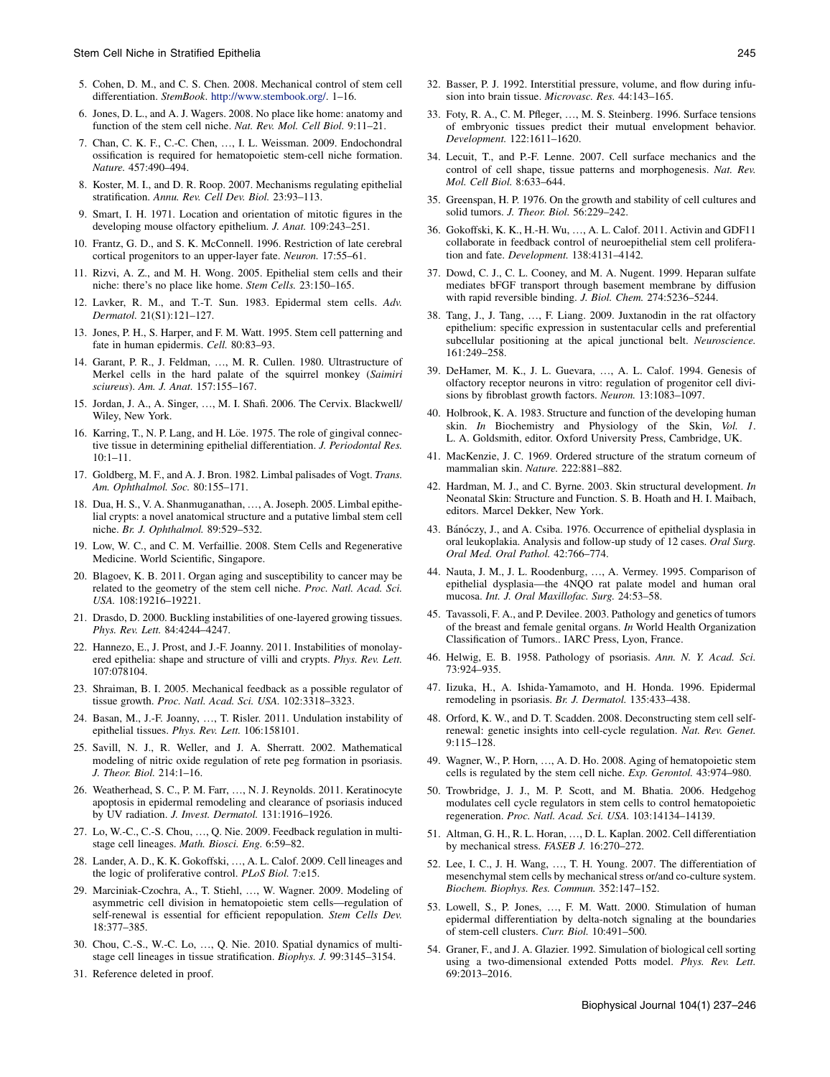- <span id="page-8-0"></span>5. Cohen, D. M., and C. S. Chen. 2008. Mechanical control of stem cell differentiation. StemBook. [http://www.stembook.org/.](http://www.stembook.org/) 1–16.
- 6. Jones, D. L., and A. J. Wagers. 2008. No place like home: anatomy and function of the stem cell niche. Nat. Rev. Mol. Cell Biol. 9:11–21.
- 7. Chan, C. K. F., C.-C. Chen, ., I. L. Weissman. 2009. Endochondral ossification is required for hematopoietic stem-cell niche formation. Nature. 457:490–494.
- 8. Koster, M. I., and D. R. Roop. 2007. Mechanisms regulating epithelial stratification. Annu. Rev. Cell Dev. Biol. 23:93–113.
- Smart, I. H. 1971. Location and orientation of mitotic figures in the developing mouse olfactory epithelium. J. Anat. 109:243–251.
- 10. Frantz, G. D., and S. K. McConnell. 1996. Restriction of late cerebral cortical progenitors to an upper-layer fate. Neuron. 17:55–61.
- 11. Rizvi, A. Z., and M. H. Wong. 2005. Epithelial stem cells and their niche: there's no place like home. Stem Cells. 23:150–165.
- 12. Lavker, R. M., and T.-T. Sun. 1983. Epidermal stem cells. Adv. Dermatol. 21(S1):121–127.
- 13. Jones, P. H., S. Harper, and F. M. Watt. 1995. Stem cell patterning and fate in human epidermis. Cell. 80:83–93.
- 14. Garant, P. R., J. Feldman, ..., M. R. Cullen. 1980. Ultrastructure of Merkel cells in the hard palate of the squirrel monkey (Saimiri sciureus). Am. J. Anat. 157:155–167.
- 15. Jordan, J. A., A. Singer, ..., M. I. Shafi. 2006. The Cervix. Blackwell/ Wiley, New York.
- 16. Karring, T., N. P. Lang, and H. Löe. 1975. The role of gingival connective tissue in determining epithelial differentiation. J. Periodontal Res. 10:1–11.
- 17. Goldberg, M. F., and A. J. Bron. 1982. Limbal palisades of Vogt. Trans. Am. Ophthalmol. Soc. 80:155–171.
- 18. Dua, H. S., V. A. Shanmuganathan, ..., A. Joseph. 2005. Limbal epithelial crypts: a novel anatomical structure and a putative limbal stem cell niche. Br. J. Ophthalmol. 89:529–532.
- 19. Low, W. C., and C. M. Verfaillie. 2008. Stem Cells and Regenerative Medicine. World Scientific, Singapore.
- 20. Blagoev, K. B. 2011. Organ aging and susceptibility to cancer may be related to the geometry of the stem cell niche. Proc. Natl. Acad. Sci. USA. 108:19216–19221.
- 21. Drasdo, D. 2000. Buckling instabilities of one-layered growing tissues. Phys. Rev. Lett. 84:4244–4247.
- 22. Hannezo, E., J. Prost, and J.-F. Joanny. 2011. Instabilities of monolayered epithelia: shape and structure of villi and crypts. Phys. Rev. Lett. 107:078104.
- 23. Shraiman, B. I. 2005. Mechanical feedback as a possible regulator of tissue growth. Proc. Natl. Acad. Sci. USA. 102:3318–3323.
- 24. Basan, M., J.-F. Joanny, ..., T. Risler. 2011. Undulation instability of epithelial tissues. Phys. Rev. Lett. 106:158101.
- 25. Savill, N. J., R. Weller, and J. A. Sherratt. 2002. Mathematical modeling of nitric oxide regulation of rete peg formation in psoriasis. J. Theor. Biol. 214:1–16.
- 26. Weatherhead, S. C., P. M. Farr, ..., N. J. Reynolds. 2011. Keratinocyte apoptosis in epidermal remodeling and clearance of psoriasis induced by UV radiation. J. Invest. Dermatol. 131:1916–1926.
- 27. Lo, W.-C., C.-S. Chou, ., Q. Nie. 2009. Feedback regulation in multistage cell lineages. Math. Biosci. Eng. 6:59–82.
- 28. Lander, A. D., K. K. Gokoffski, ., A. L. Calof. 2009. Cell lineages and the logic of proliferative control. PLoS Biol. 7:e15.
- 29. Marciniak-Czochra, A., T. Stiehl, ..., W. Wagner. 2009. Modeling of asymmetric cell division in hematopoietic stem cells—regulation of self-renewal is essential for efficient repopulation. Stem Cells Dev. 18:377–385.
- 30. Chou, C.-S., W.-C. Lo, ., Q. Nie. 2010. Spatial dynamics of multistage cell lineages in tissue stratification. Biophys. J. 99:3145–3154.
- 31. Reference deleted in proof.
- 32. Basser, P. J. 1992. Interstitial pressure, volume, and flow during infusion into brain tissue. Microvasc. Res. 44:143–165.
- 33. Foty, R. A., C. M. Pfleger, ..., M. S. Steinberg. 1996. Surface tensions of embryonic tissues predict their mutual envelopment behavior. Development. 122:1611–1620.
- 34. Lecuit, T., and P.-F. Lenne. 2007. Cell surface mechanics and the control of cell shape, tissue patterns and morphogenesis. Nat. Rev. Mol. Cell Biol. 8:633–644.
- 35. Greenspan, H. P. 1976. On the growth and stability of cell cultures and solid tumors. J. Theor. Biol. 56:229–242.
- 36. Gokoffski, K. K., H.-H. Wu, ., A. L. Calof. 2011. Activin and GDF11 collaborate in feedback control of neuroepithelial stem cell proliferation and fate. Development. 138:4131–4142.
- 37. Dowd, C. J., C. L. Cooney, and M. A. Nugent. 1999. Heparan sulfate mediates bFGF transport through basement membrane by diffusion with rapid reversible binding. J. Biol. Chem. 274:5236–5244.
- 38. Tang, J., J. Tang, ..., F. Liang. 2009. Juxtanodin in the rat olfactory epithelium: specific expression in sustentacular cells and preferential subcellular positioning at the apical junctional belt. Neuroscience. 161:249–258.
- 39. DeHamer, M. K., J. L. Guevara, ..., A. L. Calof. 1994. Genesis of olfactory receptor neurons in vitro: regulation of progenitor cell divisions by fibroblast growth factors. Neuron. 13:1083–1097.
- 40. Holbrook, K. A. 1983. Structure and function of the developing human skin. In Biochemistry and Physiology of the Skin, Vol. 1. L. A. Goldsmith, editor. Oxford University Press, Cambridge, UK.
- 41. MacKenzie, J. C. 1969. Ordered structure of the stratum corneum of mammalian skin. Nature. 222:881–882.
- 42. Hardman, M. J., and C. Byrne. 2003. Skin structural development. In Neonatal Skin: Structure and Function. S. B. Hoath and H. I. Maibach, editors. Marcel Dekker, New York.
- 43. Bánóczy, J., and A. Csiba. 1976. Occurrence of epithelial dysplasia in oral leukoplakia. Analysis and follow-up study of 12 cases. Oral Surg. Oral Med. Oral Pathol. 42:766–774.
- 44. Nauta, J. M., J. L. Roodenburg, ..., A. Vermey. 1995. Comparison of epithelial dysplasia—the 4NQO rat palate model and human oral mucosa. Int. J. Oral Maxillofac. Surg. 24:53–58.
- 45. Tavassoli, F. A., and P. Devilee. 2003. Pathology and genetics of tumors of the breast and female genital organs. In World Health Organization Classification of Tumors.. IARC Press, Lyon, France.
- 46. Helwig, E. B. 1958. Pathology of psoriasis. Ann. N. Y. Acad. Sci. 73:924–935.
- 47. Iizuka, H., A. Ishida-Yamamoto, and H. Honda. 1996. Epidermal remodeling in psoriasis. Br. J. Dermatol. 135:433–438.
- 48. Orford, K. W., and D. T. Scadden. 2008. Deconstructing stem cell selfrenewal: genetic insights into cell-cycle regulation. Nat. Rev. Genet. 9:115–128.
- 49. Wagner, W., P. Horn, ., A. D. Ho. 2008. Aging of hematopoietic stem cells is regulated by the stem cell niche. Exp. Gerontol. 43:974–980.
- 50. Trowbridge, J. J., M. P. Scott, and M. Bhatia. 2006. Hedgehog modulates cell cycle regulators in stem cells to control hematopoietic regeneration. Proc. Natl. Acad. Sci. USA. 103:14134–14139.
- 51. Altman, G. H., R. L. Horan, ., D. L. Kaplan. 2002. Cell differentiation by mechanical stress. FASEB J. 16:270–272.
- 52. Lee, I. C., J. H. Wang, ..., T. H. Young. 2007. The differentiation of mesenchymal stem cells by mechanical stress or/and co-culture system. Biochem. Biophys. Res. Commun. 352:147–152.
- 53. Lowell, S., P. Jones, ..., F. M. Watt. 2000. Stimulation of human epidermal differentiation by delta-notch signaling at the boundaries of stem-cell clusters. Curr. Biol. 10:491–500.
- 54. Graner, F., and J. A. Glazier. 1992. Simulation of biological cell sorting using a two-dimensional extended Potts model. Phys. Rev. Lett. 69:2013–2016.